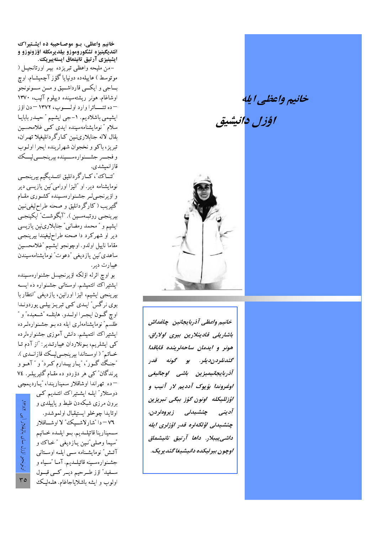خانيم واعظي ايله

اؤزا فانتشق



خانيم واعظى آذربايجانين جاغداش باشاریلی قادینلارین بیری اولاراق، هونر و ایدمان ساحهلرینده قاباقدا گشدنلردن ديلر. بو گونه قدر أذربا يجانيميزين باشي اوجاليغي اوغروندا يؤيوک آدديم لار آنيب و اؤزلليكله \_اونون گۇز\_بېگى تېرېزېن أديني چئشيدلى زيروەلردن، چئشىدلى اۇلكەلرە قدر اۇزلرى ايلە داشى يىبلار. داھا آرتىق تانىشماق اوچون بيرليكده دانيشيغا گنديريک.

خانیم واعظی، بـو موصـاحیبه ده ایشـتیراک ائتديگينيزه تشكوروموزو بيلديرمكله اؤزونوزو و ایشینیزی آرتیق تانیتماق ایسته پیریک.

-من مليحه واعظى تبريزده بيـر اورتانجيـل ( موتوسط ) عاییلەدە دونیایا گۇز آچمیشـام اوچ بساجيي و ايکسي قارداشسيق و مسن سسونونجو اوشاغام هونر ريشتهسينده ديپلوم آليب، ١٣٧٠ - ده تئــاترا وارد اولــوب، ١٣٧٢ - دن اؤز ايشيمي باشلاديم. ١- جي ايشيم " حيـدر بابايـا سلام " نومایشنامەسپندە ایدى كى غلامحسىن بقال لاله جنابلارىلمين كبارگردانليغيلا تهران، تبريز، باكو و نخجوان شهرلرينده ايجرا اولـوب و فجـــر جشـــنوارەســــینده بیرینجــــیلیـــک قازانمېشدى.

"تنساك"، كسارگردانليق ائتسديگيم بيرينجسي نومایشنامه دیر. او "الیزا اورامی "نین یازیسی دیر و اؤیرنجه پل جشنوارهسینده کشوری مقام گتیریب (کارگردانلیق و صحنه طراحلیغی نـین بيرينجـي روتبـهسـين). "آبگوشــت" ايكينجـي ایشیم و " محمد رمضانی" جنابلارینین یازیسی دير او شهركرد دا صحنه طراحليغيندا بيرينجي مقاما ناييل اولدو اوچونجو ايشيم تخلامحسين ساعدى ٌنين يازديغي ″دعوت″ نومايشنامەسيندن عيبارت دير.

بو اوچ اثرله اؤلکه اؤیرنجیسل جشنوارەسىيندە ایشتیراک ائتمیشم اوستانی جشنواره ده ایسه بيرينجي ايشيم، اليزا اورانين، يازديغي "انتظار با بوی نرگس" ایلدی کے تبریز بیلے پوردوندا اوچ گـــون ايجــــرا اولــــدو. هابئلـــه "شـــعبـده" و " طلسم" نومایشنامهلری ایله ده بـو جشـنوارهلـرده ایشتیراک ائتمیشم. دانش آموزی جشنوارهلرده کی ایشلریم، بونلاردان عیبارتـدیر: "از آدم تـا خــاتم" ( اوســتاندا بيرينجــي ليــك قازانــدى ). "جنگ گور"، "پاربيـدارم كـرد" و " آهــو و يرندگان کې هر دؤردو ده مقـام گتيريبلـر. ٧٤ – ده تهراندا اوشاقلار سميناريندا، "يبارديمچي

> دوستلار" ایلـه ایشـتیراک ائتـدیم کـی برون مرزی شبکهدن ظبط و پاییلدی و اوتابدا چوخلو ايستيقيال اولموشدو. ٧٦ – دا "شارلاشــيك،" لا اوشــاقلار سـمينارينا قاتيلــديـم. بــو ايلــده خــانيـم 'سيما وصلي ٌنـين يــازديغي ″ خـاك و آتـش ٌ نومايشـنامه سـي ايلـه اوسـتاني جشـنوارەسـينه قاتيلــديم. آمــا "سـياه و سـفيد" اؤز طـرحيم ديــر كــي قبــول اولوب و ايشه باشلاياجاغام. هلـهليـك

ونونجو اؤزل ساى باليقلار أيبي ١٣٨٢.  $50$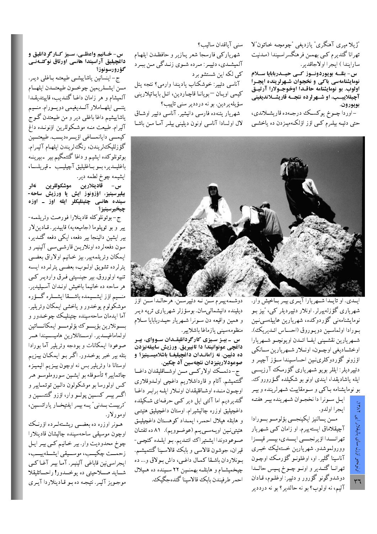″ژیلا میری آهنگری″ یازدیغ<sub>ی</sub> ″چومچـه خـاتون″لا تهرانا گئديرم كىي بهمــن فرهنگسراسـيندا (مــدنيت سارايندا) ايجرا اولاجاقدير.

س- بئلــه بويوردونــوز كــى حيــدربابايا ســلام نومایشنامهسی باکی و نخجوان شـهرلرینده ایجـرا اولوب. بو نومایشنامه حاقـدا اوخوجـولارا آرتیـق آچیقلاییسب، او شــهرلرده نئجــه قاریشَـــلاندیغینی بويورون.

- اوردا چــوخ يوكسـك درجــهده قاريشــلاندي، حتی دئیـه بیلـرم کـی اؤز اؤلکـهمیـزدن ده یاخشـی

سنى آياقدان ساليب؟

شهرياركبي فارسجا شعر يبازير و حافظـدن ايلهـام آلمیشــدي، دئييــر: مــرده شــوي زنــدگيي مــن ببــرد کپي لکه اين شستشو برد

آناسبي دئيير: خوشكناب ياديندا وارمى؟ نئجه يئل كيمي اويان -بويانا قاچاردين، ائىل باياتيلاريني سؤيلەيردىن. بو نە درددير سنى تاپيب؟

شهریار یئنهده فارسی دانیشیر. آناسبی دئییر اوشـاق لال اولسادا آناسی اونون دیلینی بیلـر آمـا مـن باشـا



ایسدی. او تایسدا شسهریارا آیسری بیسر بساخیش وار. شهریاری گؤزلهیپرلر. اونلار دئیپردیلر ک<sub>می</sub>، 'بیز بـو نومايشنامەنىي گؤردوكدە، شھريارين عاييلەسىينين بورادا اولماسين دويوروق (احساس ائـديريك). شهريارين نقشيني ايف اائلدن اويونچو شهريارا اوخشـاديغي اوچـون، اونــلار شــهريارين ســانكي اؤزونو گؤردوکلرینین احساسیندا سـؤز آچیـر و دئیپردیلر: ایللر بویو شــهریاری گؤرمـک آرزیســی ايله ياشاديقدا، ايندي اونو بو شكيلده گـؤروروك. بو نومایشنامه بـاکبی و سـومقاییت شـهرلرینده و بیـر

ايـل سـونرا دا نخجـوان شـهرينده بيـر هفتـه ايجرا اولدو.

مـــن يـــالنيز ايكينجـــي بؤلومـــو بـــورادا آچیقلاماق ایستهیپرم او زامان ک<sub>سی</sub> شهریار تهرانسدا اؤيرنجهي ايسدى، بيسر قيسزا وورولموشدو شهريارين خستهليك خبرى آناسینا گلیر او، اوغلونـو گؤرمـک اوچـون تهرانــا گئــدير و اونــو چــوخ پــيس حالــدا دوشدوگونو گؤرور و دئییر: اوغلــوم، قــادان آليم، نه اولوب؟ بو نه حالدير؟ بو نه درددير

دوشــمەييــرم ســـن نــه دئييرســـن. هرحالــدا ســـن اؤز ديلينده دانيشمالىسان بوسؤزلر شهريارى ترپه ديـر و همين واقيعه دن سونرا شهريار حيـدربابايا سلام منظومهسينبي يازماغا باشلايير

س۔ بیـز سـیزی کارگردانلیقـدان سـووای، بیـر داغچی عونوانیندا دا تانییریق. ورزیش سابیقهنیزدن ده دُئِيِّين. نَه زامانـدان داغچیلیغـا باشلامیسـینیز؟ و صوعودلارینیزدان نئچهسین آد چکین.

ج- دئمــك اولاركــي مــن اوشــاقليقدان داغــا گئتمیشم. آتام و قارداشلاریم داغچی اولـدوقلاری اوچون منده اوشاقليقدان اونلار ايليه برابير داغا گئدیردیم اما آلتی ایل دیر کـی حرفـهای شـکیلده داغچیلیق اوزره چالیشیرام اوستان داغچیلیق هئیتــی و هابئله هیلال احمـر، ایمـداد کوهسـتان داغچیلیـق هئيتينين اويـهسـي.يــم (عوضـوويـم). ٨١ ده تفتـان صوعودوندا ايشتيراك ائتـديم بـو ايلـده كئچـي-قيران، جوشون قالاسي و بابك قالاسـينا گَئتميشـم. بونلاردان باشـقا كمـال داغـي، داش بـولاق و... ده چیخمیشام و هابئله بهمنـین ۲۲ سـینده ده هـیلال احمر طرفبندن بابك قالاسبنا گئدهجگبك.

## س- خــاليم واعظــي، ســيز كــارگردالليق و داغَچیلیق آراسیندا هانسی اورتاق نوکتـهفـی گؤرورسونوز؟

ج– اینسانین یاشاییشـی طبیعتـه بـاغلـی دیـر. مــن ايشــلريمين چوخــون طبيعتــدن ايلهــام آلمیشام و هر زامان داغــا گـئــدیـب، قاییتدیقــدا يئنسي ايلهــاملار آلــديغيمي دويـــورام منـــيم ياشاييشيم داغا باغلمي دير و من طبيعتدن گـوجُ آليرام طبيعت منـه موشـكوللرين اؤنونـده داغ كيمسي دايانمساغي اؤيسرهديسب طبيعتسين گۇزلليك لريندن، رنگ لريندن ايلهـام آليـرام. بوتونلوکده ایشیم و داغا گئتمگیم بیر -بیرینــه باغليـــدير، بـــو بــاغليليق آچيليـــب \_ قيريلســا،

ايشيمه چوخ لطمه دير.<br>س – قادينلارين موشكوللرين نەل, بيليرسينيز، اؤزونوز ايش يا ورزيش ساحه-سینده هانسی چتینلیکلر ایله اوز ـ اوزه چيخيرسينيز؟

ج-بوتونلوكله قادينلارا فورصت وئريلمـه-يير و بو توپلوما (جاميعهيه) قاييدير. قـادينلار بیر ایشین دالینجا بیر دفعه، ایکی دفعه گئـدیر، سون دفعهلرده اونلاریــن قارشــیســی آلینیــر و ايمكان وئريلمهيير. بيز خـانيم اولاراق بعضـي یئرلرده تشویق اولـوب، بعضـی یئرلـرده ایسـه تنبیه اولوروق بیر جینسیتی فـرق واردیـر کــی هر ساحه ده خانیما باخیش اونـدان آسـیلیدیر. منـــيم اؤز ايشـــيمده باشـــقا ايشــــلره گـــؤره موشکولوم يوخدور و ياخشي ايمکان وئريلير. آما ايدمان ساحەسيندە چتينليىك چوخىدور و بــــونلارين بؤيــــوك بؤلومــــو ايمكانــــاتين اولماماغيـــدير. اوســـتانلارين هاميســيندا هـــر صوعودا ايمكانات و بودجه وئريلير آما بورادا بئله بير خبر يوخـدور. اگـر بـو ايمكـان بيـزيـم اوستانا دا وئريلير بس نه اوچون بيـزيم اليميـزه چاتمايير؟ تأسوفله بو ايشـين سوروملوسـو هـر کس اولورسا بو موشکولون دالين توتمايير و اگـــر بيـــر كســـين پولـــو وار، اؤزو گئتســـين و "تربیــت بــدنی" یــه بیــر ایفتیخــار یاراتســین، اومورلار.

هــونر اوزره ده بعضـــی ریشــتهلــرده اؤرنــک اوچون موسيقى ساحەسينده چاليشان قادينلارا چوخ محدودیت وار. بیر خـانیم کـي بيـر ايـل زحمـــت چكيـــب، موســـيقىي ايشـــلهييـــب، ايجراسي نين قاباغي آلينيـر. آمـا بيــر آغــاكــي شــــايـد صــــلاحيتـي ده يوخــــدور! راحــــاتليقلا موجـویز آلیـر. نتیجـه ده بـو قـادینلاردا آیــری

 $\check{\mathcal{E}}$ باليقلار د:<br>د اونونجو ٣٦